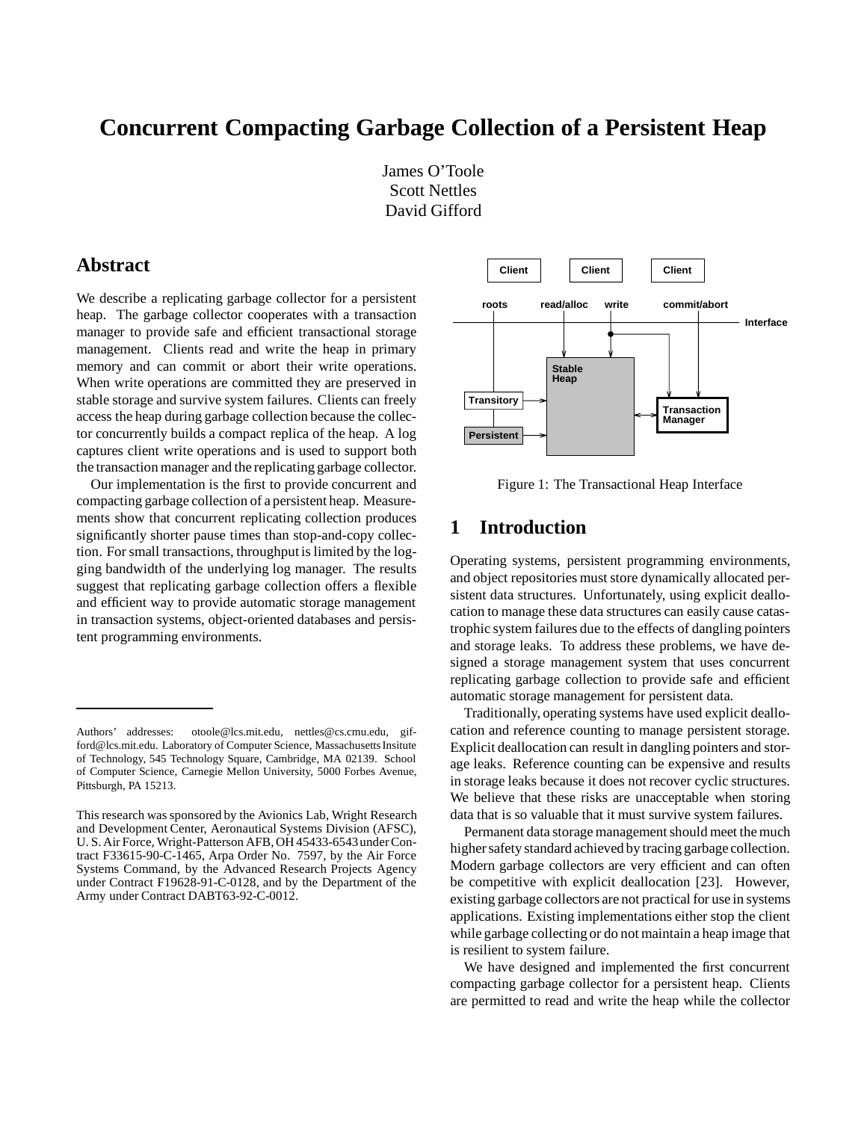# **Concurrent Compacting Garbage Collection of a Persistent Heap**

James O'Toole Scott Nettles David Gifford

# **Abstract**

We describe a replicating garbage collector for a persistent heap. The garbage collector cooperates with a transaction manager to provide safe and efficient transactional storage management. Clients read and write the heap in primary memory and can commit or abort their write operations. When write operations are committed they are preserved in stable storage and survive system failures. Clients can freely access the heap during garbage collection because the collector concurrently builds a compact replica of the heap. A log captures client write operations and is used to support both the transaction manager and the replicating garbage collector.

Our implementation is the first to provide concurrent and compacting garbage collection of a persistent heap. Measurements show that concurrent replicating collection produces significantly shorter pause times than stop-and-copy collection. For small transactions, throughput is limited by the logging bandwidth of the underlying log manager. The results suggest that replicating garbage collection offers a flexible and efficient way to provide automatic storage management in transaction systems, object-oriented databases and persistent programming environments.



Figure 1: The Transactional Heap Interface

# **1 Introduction**

Operating systems, persistent programming environments, and object repositories must store dynamically allocated persistent data structures. Unfortunately, using explicit deallocation to manage these data structures can easily cause catastrophic system failures due to the effects of dangling pointers and storage leaks. To address these problems, we have designed a storage management system that uses concurrent replicating garbage collection to provide safe and efficient automatic storage management for persistent data.

Traditionally, operating systems have used explicit deallocation and reference counting to manage persistent storage. Explicit deallocation can result in dangling pointers and storage leaks. Reference counting can be expensive and results in storage leaks because it does not recover cyclic structures. We believe that these risks are unacceptable when storing data that is so valuable that it must survive system failures.

Permanent data storage management should meet the much higher safety standard achieved by tracing garbage collection. Modern garbage collectors are very efficient and can often be competitive with explicit deallocation [23]. However, existing garbage collectors are not practical for use in systems applications. Existing implementations either stop the client while garbage collecting or do not maintain a heap image that is resilient to system failure.

We have designed and implemented the first concurrent compacting garbage collector for a persistent heap. Clients are permitted to read and write the heap while the collector

Authors' addresses: otoole@lcs.mit.edu, nettles@cs.cmu.edu, gifford@lcs.mit.edu. Laboratory of Computer Science, Massachusetts Insitute of Technology, 545 Technology Square, Cambridge, MA 02139. School of Computer Science, Carnegie Mellon University, 5000 Forbes Avenue, Pittsburgh, PA 15213.

This research was sponsored by the Avionics Lab, Wright Research and Development Center, Aeronautical Systems Division (AFSC), U. S. Air Force, Wright-Patterson AFB, OH 45433-6543under Contract F33615-90-C-1465, Arpa Order No. 7597, by the Air Force Systems Command, by the Advanced Research Projects Agency under Contract F19628-91-C-0128, and by the Department of the Army under Contract DABT63-92-C-0012.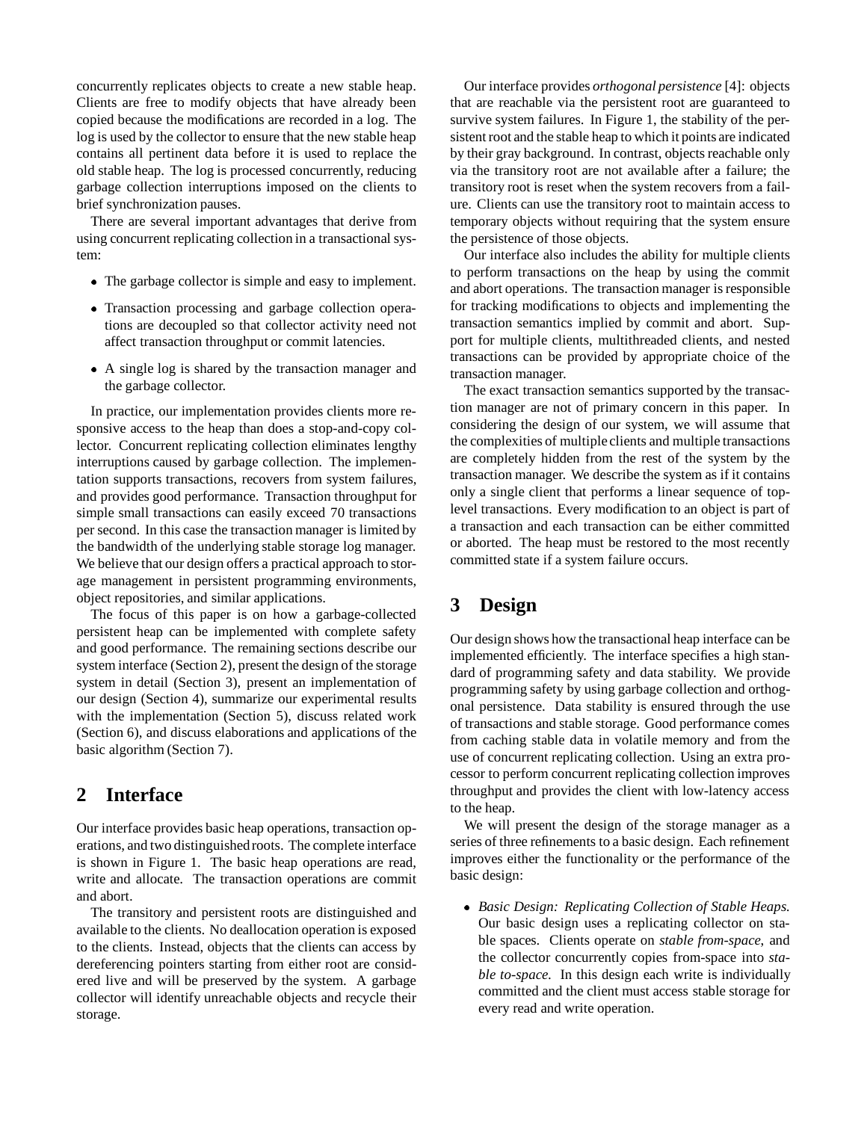concurrently replicates objects to create a new stable heap. Clients are free to modify objects that have already been copied because the modifications are recorded in a log. The log is used by the collector to ensure that the new stable heap contains all pertinent data before it is used to replace the old stable heap. The log is processed concurrently, reducing garbage collection interruptions imposed on the clients to brief synchronization pauses.

There are several important advantages that derive from using concurrent replicating collection in a transactional system:

- The garbage collector is simple and easy to implement.
- Transaction processing and garbage collection operations are decoupled so that collector activity need not affect transaction throughput or commit latencies.
- A single log is shared by the transaction manager and the garbage collector.

In practice, our implementation provides clients more responsive access to the heap than does a stop-and-copy collector. Concurrent replicating collection eliminates lengthy interruptions caused by garbage collection. The implementation supports transactions, recovers from system failures, and provides good performance. Transaction throughput for simple small transactions can easily exceed 70 transactions per second. In this case the transaction manager is limited by the bandwidth of the underlying stable storage log manager. We believe that our design offers a practical approach to storage management in persistent programming environments, object repositories, and similar applications.

The focus of this paper is on how a garbage-collected persistent heap can be implemented with complete safety and good performance. The remaining sections describe our system interface (Section 2), present the design of the storage system in detail (Section 3), present an implementation of our design (Section 4), summarize our experimental results with the implementation (Section 5), discuss related work (Section 6), and discuss elaborations and applications of the basic algorithm (Section 7).

# **2 Interface**

Our interface provides basic heap operations, transaction operations, and two distinguishedroots. The complete interface is shown in Figure 1. The basic heap operations are read, write and allocate. The transaction operations are commit and abort.

The transitory and persistent roots are distinguished and available to the clients. No deallocation operation is exposed to the clients. Instead, objects that the clients can access by dereferencing pointers starting from either root are considered live and will be preserved by the system. A garbage collector will identify unreachable objects and recycle their storage.

Our interface provides *orthogonal persistence* [4]: objects that are reachable via the persistent root are guaranteed to survive system failures. In Figure 1, the stability of the persistent root and the stable heap to which it points are indicated by their gray background. In contrast, objects reachable only via the transitory root are not available after a failure; the transitory root is reset when the system recovers from a failure. Clients can use the transitory root to maintain access to temporary objects without requiring that the system ensure the persistence of those objects.

Our interface also includes the ability for multiple clients to perform transactions on the heap by using the commit and abort operations. The transaction manager is responsible for tracking modifications to objects and implementing the transaction semantics implied by commit and abort. Support for multiple clients, multithreaded clients, and nested transactions can be provided by appropriate choice of the transaction manager.

The exact transaction semantics supported by the transaction manager are not of primary concern in this paper. In considering the design of our system, we will assume that the complexities of multiple clients and multiple transactions are completely hidden from the rest of the system by the transaction manager. We describe the system as if it contains only a single client that performs a linear sequence of toplevel transactions. Every modification to an object is part of a transaction and each transaction can be either committed or aborted. The heap must be restored to the most recently committed state if a system failure occurs.

# **3 Design**

Our design shows how the transactional heap interface can be implemented efficiently. The interface specifies a high standard of programming safety and data stability. We provide programming safety by using garbage collection and orthogonal persistence. Data stability is ensured through the use of transactions and stable storage. Good performance comes from caching stable data in volatile memory and from the use of concurrent replicating collection. Using an extra processor to perform concurrent replicating collection improves throughput and provides the client with low-latency access to the heap.

We will present the design of the storage manager as a series of three refinements to a basic design. Each refinement improves either the functionality or the performance of the basic design:

 *Basic Design: Replicating Collection of Stable Heaps.* Our basic design uses a replicating collector on stable spaces. Clients operate on *stable from-space*, and the collector concurrently copies from-space into *stable to-space*. In this design each write is individually committed and the client must access stable storage for every read and write operation.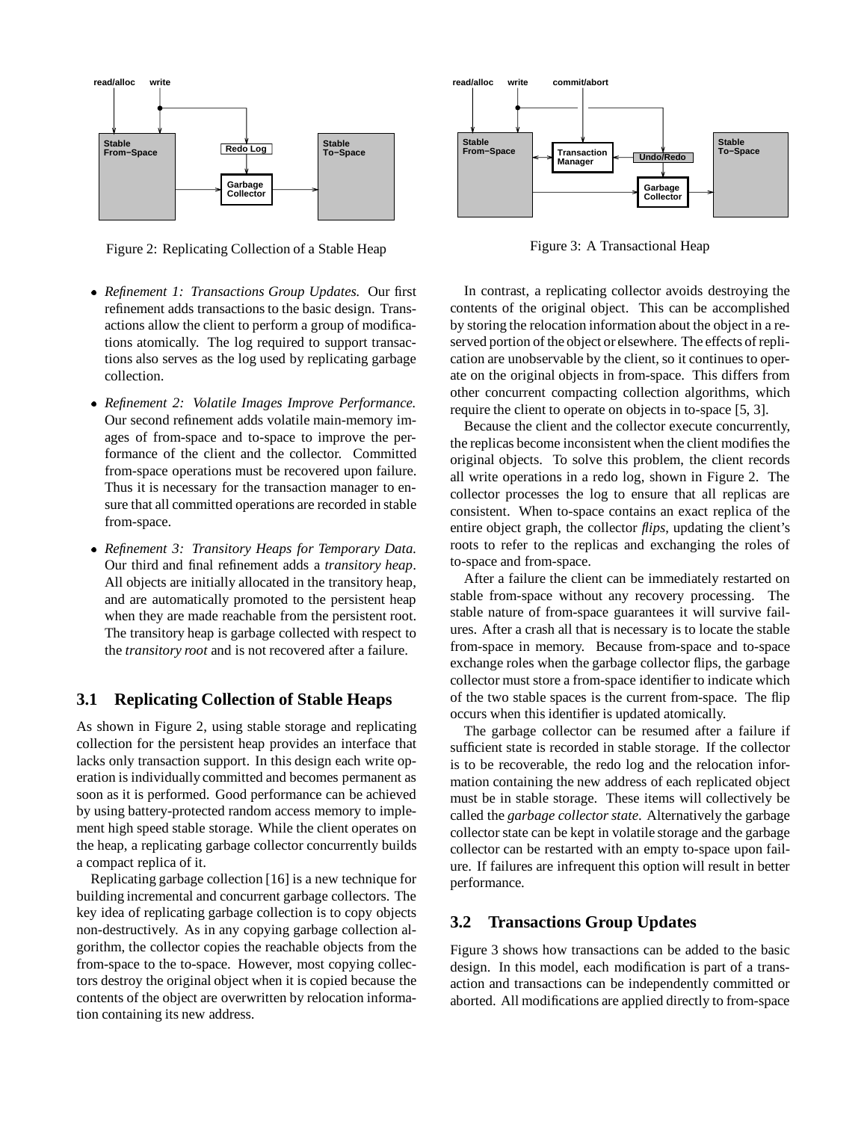

Figure 2: Replicating Collection of a Stable Heap

- *Refinement 1: Transactions Group Updates.* Our first refinement adds transactions to the basic design. Transactions allow the client to perform a group of modifications atomically. The log required to support transactions also serves as the log used by replicating garbage collection.
- *Refinement 2: Volatile Images Improve Performance.* Our second refinement adds volatile main-memory images of from-space and to-space to improve the performance of the client and the collector. Committed from-space operations must be recovered upon failure. Thus it is necessary for the transaction manager to ensure that all committed operations are recorded in stable from-space.
- *Refinement 3: Transitory Heaps for Temporary Data.* Our third and final refinement adds a *transitory heap*. All objects are initially allocated in the transitory heap, and are automatically promoted to the persistent heap when they are made reachable from the persistent root. The transitory heap is garbage collected with respect to the *transitory root* and is not recovered after a failure.

# **3.1 Replicating Collection of Stable Heaps**

As shown in Figure 2, using stable storage and replicating collection for the persistent heap provides an interface that lacks only transaction support. In this design each write operation is individually committed and becomes permanent as soon as it is performed. Good performance can be achieved by using battery-protected random access memory to implement high speed stable storage. While the client operates on the heap, a replicating garbage collector concurrently builds a compact replica of it.

Replicating garbage collection [16] is a new technique for building incremental and concurrent garbage collectors. The key idea of replicating garbage collection is to copy objects non-destructively. As in any copying garbage collection algorithm, the collector copies the reachable objects from the from-space to the to-space. However, most copying collectors destroy the original object when it is copied because the contents of the object are overwritten by relocation information containing its new address.



Figure 3: A Transactional Heap

In contrast, a replicating collector avoids destroying the contents of the original object. This can be accomplished by storing the relocation information about the object in a reserved portion of the object or elsewhere. The effects of replication are unobservable by the client, so it continues to operate on the original objects in from-space. This differs from other concurrent compacting collection algorithms, which require the client to operate on objects in to-space [5, 3].

Because the client and the collector execute concurrently, the replicas become inconsistent when the client modifies the original objects. To solve this problem, the client records all write operations in a redo log, shown in Figure 2. The collector processes the log to ensure that all replicas are consistent. When to-space contains an exact replica of the entire object graph, the collector *flips*, updating the client's roots to refer to the replicas and exchanging the roles of to-space and from-space.

After a failure the client can be immediately restarted on stable from-space without any recovery processing. The stable nature of from-space guarantees it will survive failures. After a crash all that is necessary is to locate the stable from-space in memory. Because from-space and to-space exchange roles when the garbage collector flips, the garbage collector must store a from-space identifier to indicate which of the two stable spaces is the current from-space. The flip occurs when this identifier is updated atomically.

The garbage collector can be resumed after a failure if sufficient state is recorded in stable storage. If the collector is to be recoverable, the redo log and the relocation information containing the new address of each replicated object must be in stable storage. These items will collectively be called the *garbage collector state*. Alternatively the garbage collector state can be kept in volatile storage and the garbage collector can be restarted with an empty to-space upon failure. If failures are infrequent this option will result in better performance.

## **3.2 Transactions Group Updates**

Figure 3 shows how transactions can be added to the basic design. In this model, each modification is part of a transaction and transactions can be independently committed or aborted. All modifications are applied directly to from-space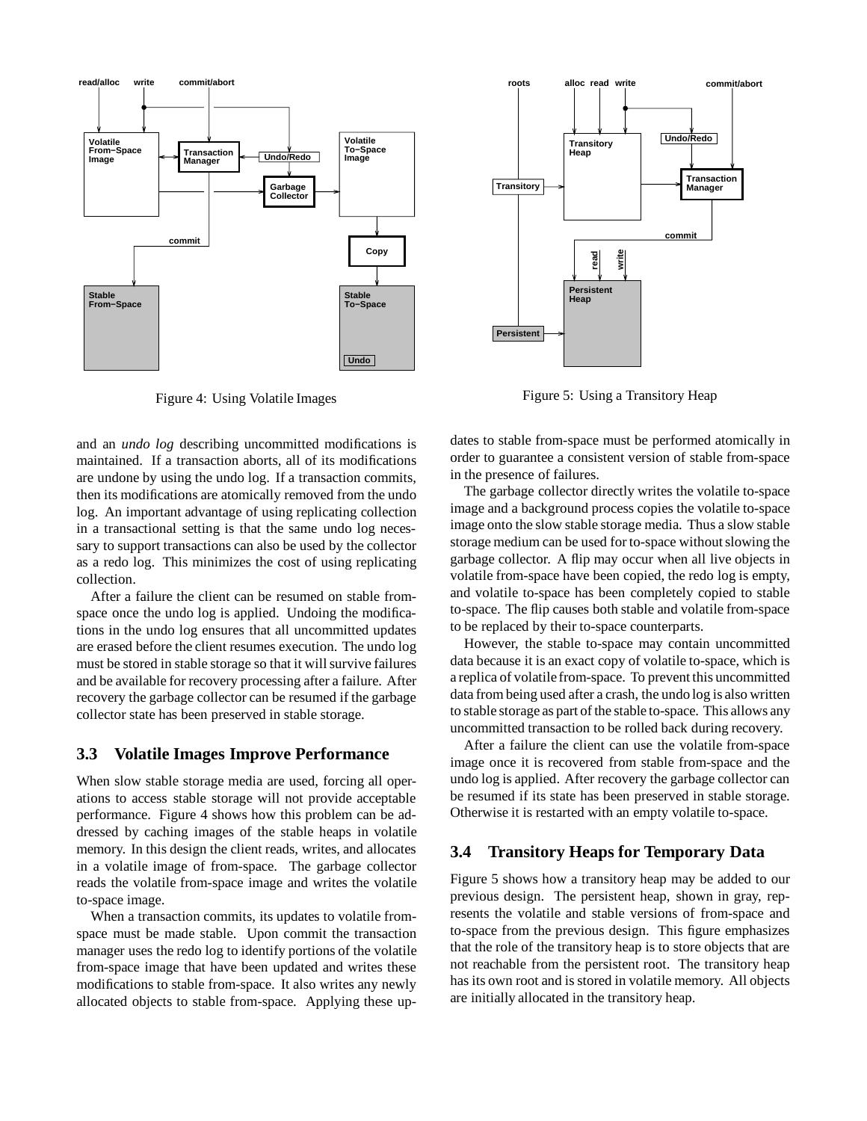

Figure 4: Using Volatile Images

and an *undo log* describing uncommitted modifications is maintained. If a transaction aborts, all of its modifications are undone by using the undo log. If a transaction commits, then its modifications are atomically removed from the undo log. An important advantage of using replicating collection in a transactional setting is that the same undo log necessary to support transactions can also be used by the collector as a redo log. This minimizes the cost of using replicating collection.

After a failure the client can be resumed on stable fromspace once the undo log is applied. Undoing the modifications in the undo log ensures that all uncommitted updates are erased before the client resumes execution. The undo log must be stored in stable storage so that it will survive failures and be available for recovery processing after a failure. After recovery the garbage collector can be resumed if the garbage collector state has been preserved in stable storage.

### **3.3 Volatile Images Improve Performance**

When slow stable storage media are used, forcing all operations to access stable storage will not provide acceptable performance. Figure 4 shows how this problem can be addressed by caching images of the stable heaps in volatile memory. In this design the client reads, writes, and allocates in a volatile image of from-space. The garbage collector reads the volatile from-space image and writes the volatile to-space image.

When a transaction commits, its updates to volatile fromspace must be made stable. Upon commit the transaction manager uses the redo log to identify portions of the volatile from-space image that have been updated and writes these modifications to stable from-space. It also writes any newly allocated objects to stable from-space. Applying these up-



Figure 5: Using a Transitory Heap

dates to stable from-space must be performed atomically in order to guarantee a consistent version of stable from-space in the presence of failures.

The garbage collector directly writes the volatile to-space image and a background process copies the volatile to-space image onto the slow stable storage media. Thus a slow stable storage medium can be used for to-space without slowing the garbage collector. A flip may occur when all live objects in volatile from-space have been copied, the redo log is empty, and volatile to-space has been completely copied to stable to-space. The flip causes both stable and volatile from-space to be replaced by their to-space counterparts.

However, the stable to-space may contain uncommitted data because it is an exact copy of volatile to-space, which is a replica of volatile from-space. To prevent this uncommitted data from being used after a crash, the undo log is also written to stable storage as part of the stable to-space. This allows any uncommitted transaction to be rolled back during recovery.

After a failure the client can use the volatile from-space image once it is recovered from stable from-space and the undo log is applied. After recovery the garbage collector can be resumed if its state has been preserved in stable storage. Otherwise it is restarted with an empty volatile to-space.

## **3.4 Transitory Heaps for Temporary Data**

Figure 5 shows how a transitory heap may be added to our previous design. The persistent heap, shown in gray, represents the volatile and stable versions of from-space and to-space from the previous design. This figure emphasizes that the role of the transitory heap is to store objects that are not reachable from the persistent root. The transitory heap has its own root and is stored in volatile memory. All objects are initially allocated in the transitory heap.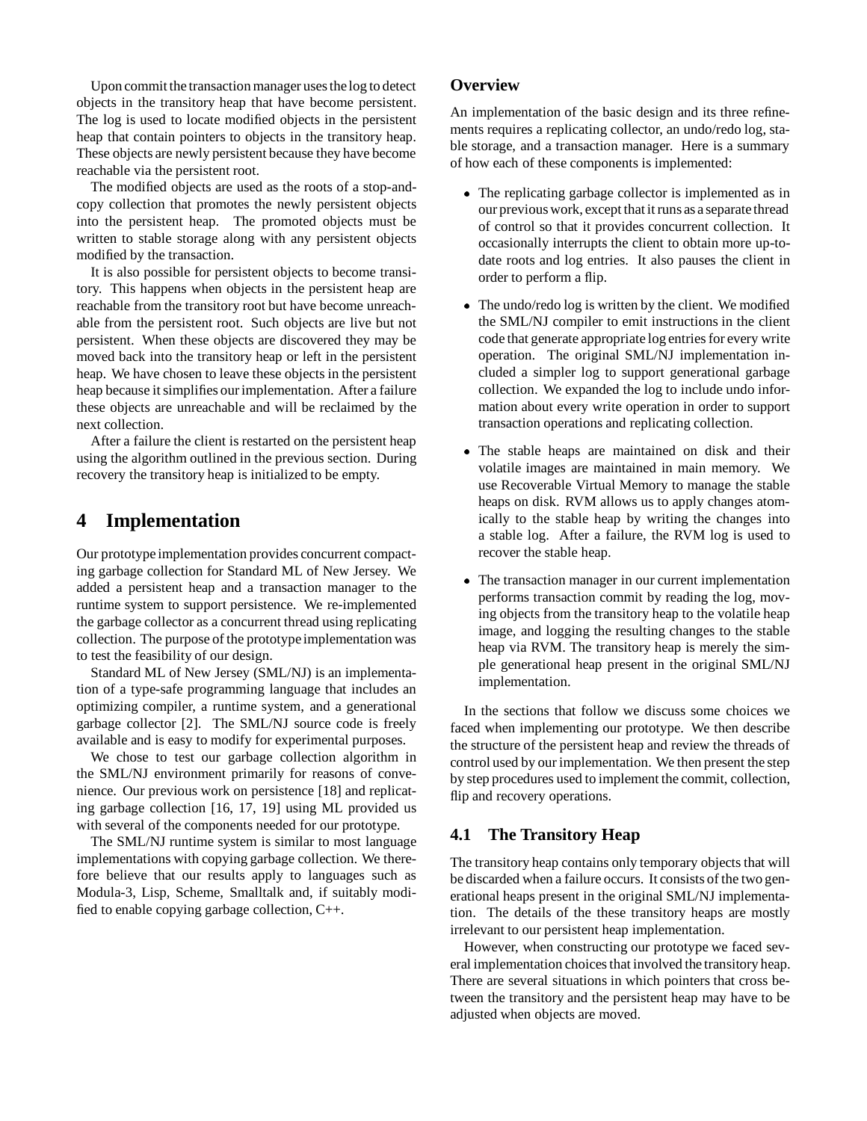Upon commit the transaction manager uses the log to detect objects in the transitory heap that have become persistent. The log is used to locate modified objects in the persistent heap that contain pointers to objects in the transitory heap. These objects are newly persistent because they have become reachable via the persistent root.

The modified objects are used as the roots of a stop-andcopy collection that promotes the newly persistent objects into the persistent heap. The promoted objects must be written to stable storage along with any persistent objects modified by the transaction.

It is also possible for persistent objects to become transitory. This happens when objects in the persistent heap are reachable from the transitory root but have become unreachable from the persistent root. Such objects are live but not persistent. When these objects are discovered they may be moved back into the transitory heap or left in the persistent heap. We have chosen to leave these objects in the persistent heap because it simplifies our implementation. After a failure these objects are unreachable and will be reclaimed by the next collection.

After a failure the client is restarted on the persistent heap using the algorithm outlined in the previous section. During recovery the transitory heap is initialized to be empty.

# **4 Implementation**

Our prototype implementation provides concurrent compacting garbage collection for Standard ML of New Jersey. We added a persistent heap and a transaction manager to the runtime system to support persistence. We re-implemented the garbage collector as a concurrent thread using replicating collection. The purpose of the prototype implementation was to test the feasibility of our design.

Standard ML of New Jersey (SML/NJ) is an implementation of a type-safe programming language that includes an optimizing compiler, a runtime system, and a generational garbage collector [2]. The SML/NJ source code is freely available and is easy to modify for experimental purposes.

We chose to test our garbage collection algorithm in the SML/NJ environment primarily for reasons of convenience. Our previous work on persistence [18] and replicating garbage collection [16, 17, 19] using ML provided us with several of the components needed for our prototype.

The SML/NJ runtime system is similar to most language implementations with copying garbage collection. We therefore believe that our results apply to languages such as Modula-3, Lisp, Scheme, Smalltalk and, if suitably modified to enable copying garbage collection, C++.

## **Overview**

An implementation of the basic design and its three refinements requires a replicating collector, an undo/redo log, stable storage, and a transaction manager. Here is a summary of how each of these components is implemented:

- The replicating garbage collector is implemented as in our previous work, except that it runs as a separate thread of control so that it provides concurrent collection. It occasionally interrupts the client to obtain more up-todate roots and log entries. It also pauses the client in order to perform a flip.
- The undo/redo log is written by the client. We modified the SML/NJ compiler to emit instructions in the client code that generate appropriate log entries for every write operation. The original SML/NJ implementation included a simpler log to support generational garbage collection. We expanded the log to include undo information about every write operation in order to support transaction operations and replicating collection.
- The stable heaps are maintained on disk and their volatile images are maintained in main memory. We use Recoverable Virtual Memory to manage the stable heaps on disk. RVM allows us to apply changes atomically to the stable heap by writing the changes into a stable log. After a failure, the RVM log is used to recover the stable heap.
- The transaction manager in our current implementation performs transaction commit by reading the log, moving objects from the transitory heap to the volatile heap image, and logging the resulting changes to the stable heap via RVM. The transitory heap is merely the simple generational heap present in the original SML/NJ implementation.

In the sections that follow we discuss some choices we faced when implementing our prototype. We then describe the structure of the persistent heap and review the threads of control used by our implementation. We then present the step by step procedures used to implement the commit, collection, flip and recovery operations.

## **4.1 The Transitory Heap**

The transitory heap contains only temporary objects that will be discarded when a failure occurs. It consists of the two generational heaps present in the original SML/NJ implementation. The details of the these transitory heaps are mostly irrelevant to our persistent heap implementation.

However, when constructing our prototype we faced several implementation choices that involved the transitory heap. There are several situations in which pointers that cross between the transitory and the persistent heap may have to be adjusted when objects are moved.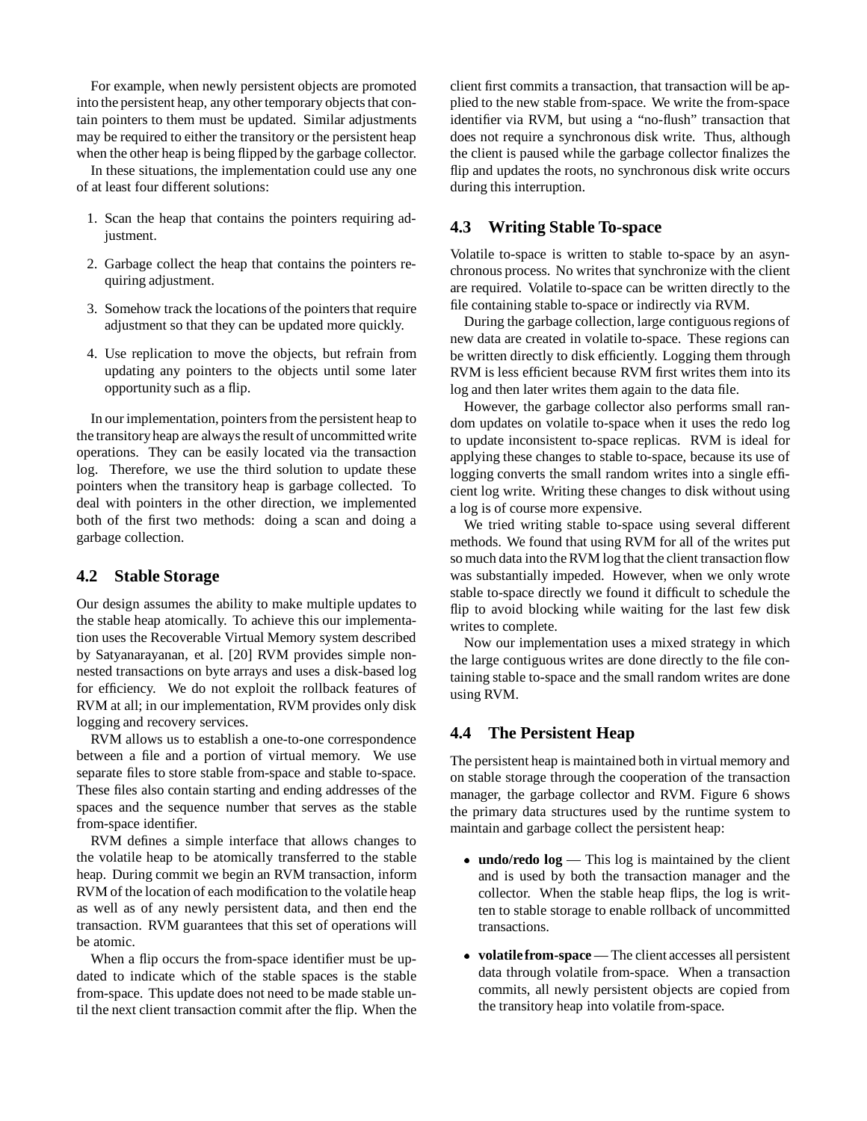For example, when newly persistent objects are promoted into the persistent heap, any other temporary objects that contain pointers to them must be updated. Similar adjustments may be required to either the transitory or the persistent heap when the other heap is being flipped by the garbage collector.

In these situations, the implementation could use any one of at least four different solutions:

- 1. Scan the heap that contains the pointers requiring adjustment.
- 2. Garbage collect the heap that contains the pointers requiring adjustment.
- 3. Somehow track the locations of the pointers that require adjustment so that they can be updated more quickly.
- 4. Use replication to move the objects, but refrain from updating any pointers to the objects until some later opportunity such as a flip.

In our implementation, pointers from the persistent heap to the transitoryheap are always the result of uncommitted write operations. They can be easily located via the transaction log. Therefore, we use the third solution to update these pointers when the transitory heap is garbage collected. To deal with pointers in the other direction, we implemented both of the first two methods: doing a scan and doing a garbage collection.

### **4.2 Stable Storage**

Our design assumes the ability to make multiple updates to the stable heap atomically. To achieve this our implementation uses the Recoverable Virtual Memory system described by Satyanarayanan, et al. [20] RVM provides simple nonnested transactions on byte arrays and uses a disk-based log for efficiency. We do not exploit the rollback features of RVM at all; in our implementation, RVM provides only disk logging and recovery services.

RVM allows us to establish a one-to-one correspondence between a file and a portion of virtual memory. We use separate files to store stable from-space and stable to-space. These files also contain starting and ending addresses of the spaces and the sequence number that serves as the stable from-space identifier.

RVM defines a simple interface that allows changes to the volatile heap to be atomically transferred to the stable heap. During commit we begin an RVM transaction, inform RVM of the location of each modification to the volatile heap as well as of any newly persistent data, and then end the transaction. RVM guarantees that this set of operations will be atomic.

When a flip occurs the from-space identifier must be updated to indicate which of the stable spaces is the stable from-space. This update does not need to be made stable until the next client transaction commit after the flip. When the

client first commits a transaction, that transaction will be applied to the new stable from-space. We write the from-space identifier via RVM, but using a "no-flush" transaction that does not require a synchronous disk write. Thus, although the client is paused while the garbage collector finalizes the flip and updates the roots, no synchronous disk write occurs during this interruption.

## **4.3 Writing Stable To-space**

Volatile to-space is written to stable to-space by an asynchronous process. No writes that synchronize with the client are required. Volatile to-space can be written directly to the file containing stable to-space or indirectly via RVM.

During the garbage collection, large contiguous regions of new data are created in volatile to-space. These regions can be written directly to disk efficiently. Logging them through RVM is less efficient because RVM first writes them into its log and then later writes them again to the data file.

However, the garbage collector also performs small random updates on volatile to-space when it uses the redo log to update inconsistent to-space replicas. RVM is ideal for applying these changes to stable to-space, because its use of logging converts the small random writes into a single efficient log write. Writing these changes to disk without using a log is of course more expensive.

We tried writing stable to-space using several different methods. We found that using RVM for all of the writes put so much data into the RVM log that the client transaction flow was substantially impeded. However, when we only wrote stable to-space directly we found it difficult to schedule the flip to avoid blocking while waiting for the last few disk writes to complete.

Now our implementation uses a mixed strategy in which the large contiguous writes are done directly to the file containing stable to-space and the small random writes are done using RVM.

## **4.4 The Persistent Heap**

The persistent heap is maintained both in virtual memory and on stable storage through the cooperation of the transaction manager, the garbage collector and RVM. Figure 6 shows the primary data structures used by the runtime system to maintain and garbage collect the persistent heap:

- **undo/redo log** This log is maintained by the client and is used by both the transaction manager and the collector. When the stable heap flips, the log is written to stable storage to enable rollback of uncommitted transactions.
- **volatilefrom-space** The client accesses all persistent data through volatile from-space. When a transaction commits, all newly persistent objects are copied from the transitory heap into volatile from-space.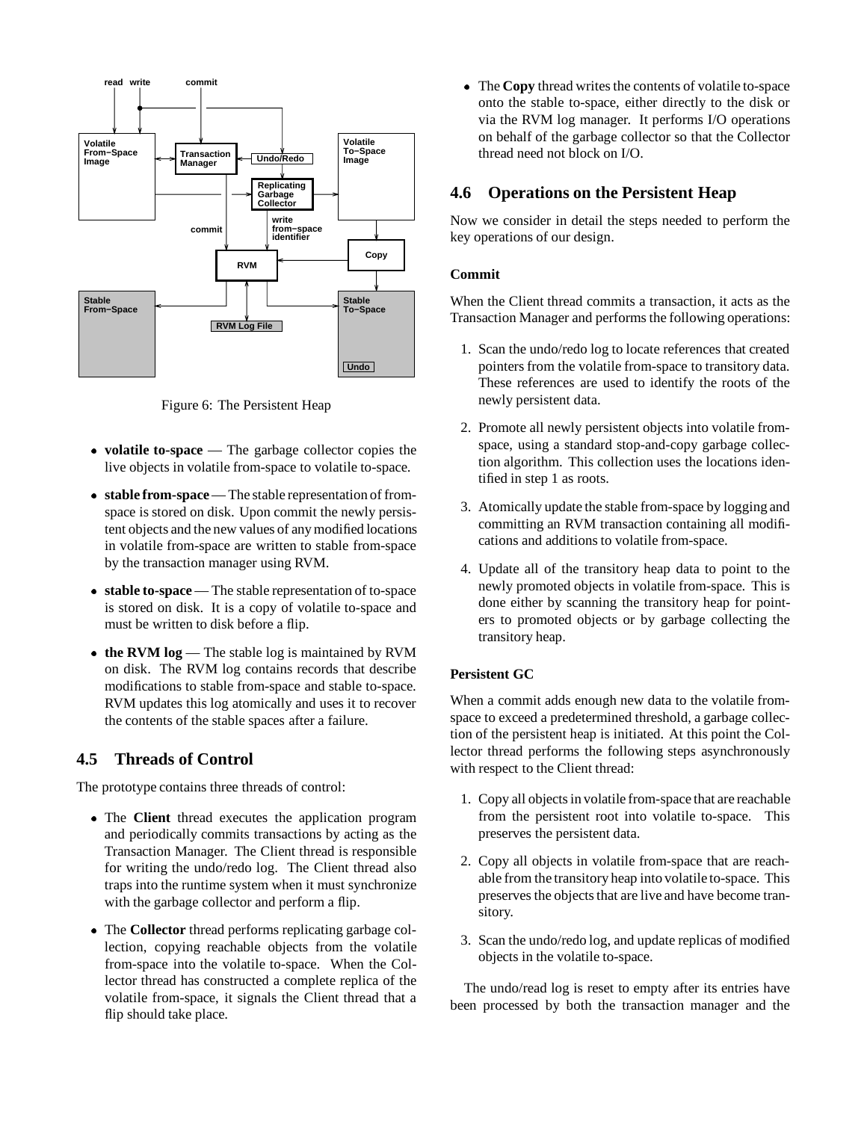

Figure 6: The Persistent Heap

- **volatile to-space** The garbage collector copies the live objects in volatile from-space to volatile to-space.
- **stable from-space** The stable representation of fromspace is stored on disk. Upon commit the newly persistent objects and the new values of any modified locations in volatile from-space are written to stable from-space by the transaction manager using RVM.
- **stable to-space** The stable representation of to-space is stored on disk. It is a copy of volatile to-space and must be written to disk before a flip.
- the RVM log The stable log is maintained by RVM on disk. The RVM log contains records that describe modifications to stable from-space and stable to-space. RVM updates this log atomically and uses it to recover the contents of the stable spaces after a failure.

# **4.5 Threads of Control**

The prototype contains three threads of control:

- The**Client** thread executes the application program and periodically commits transactions by acting as the Transaction Manager. The Client thread is responsible for writing the undo/redo log. The Client thread also traps into the runtime system when it must synchronize with the garbage collector and perform a flip.
- The**Collector** thread performs replicating garbage collection, copying reachable objects from the volatile from-space into the volatile to-space. When the Collector thread has constructed a complete replica of the volatile from-space, it signals the Client thread that a flip should take place.

 The**Copy** thread writes the contents of volatile to-space onto the stable to-space, either directly to the disk or via the RVM log manager. It performs I/O operations on behalf of the garbage collector so that the Collector thread need not block on I/O.

# **4.6 Operations on the Persistent Heap**

Now we consider in detail the steps needed to perform the key operations of our design.

### **Commit**

When the Client thread commits a transaction, it acts as the Transaction Manager and performs the following operations:

- 1. Scan the undo/redo log to locate references that created pointers from the volatile from-space to transitory data. These references are used to identify the roots of the newly persistent data.
- 2. Promote all newly persistent objects into volatile fromspace, using a standard stop-and-copy garbage collection algorithm. This collection uses the locations identified in step 1 as roots.
- 3. Atomically update the stable from-space by logging and committing an RVM transaction containing all modifications and additions to volatile from-space.
- 4. Update all of the transitory heap data to point to the newly promoted objects in volatile from-space. This is done either by scanning the transitory heap for pointers to promoted objects or by garbage collecting the transitory heap.

## **Persistent GC**

When a commit adds enough new data to the volatile fromspace to exceed a predetermined threshold, a garbage collection of the persistent heap is initiated. At this point the Collector thread performs the following steps asynchronously with respect to the Client thread:

- 1. Copy all objects in volatile from-space that are reachable from the persistent root into volatile to-space. This preserves the persistent data.
- 2. Copy all objects in volatile from-space that are reachable from the transitory heap into volatile to-space. This preserves the objects that are live and have become transitory.
- 3. Scan the undo/redo log, and update replicas of modified objects in the volatile to-space.

The undo/read log is reset to empty after its entries have been processed by both the transaction manager and the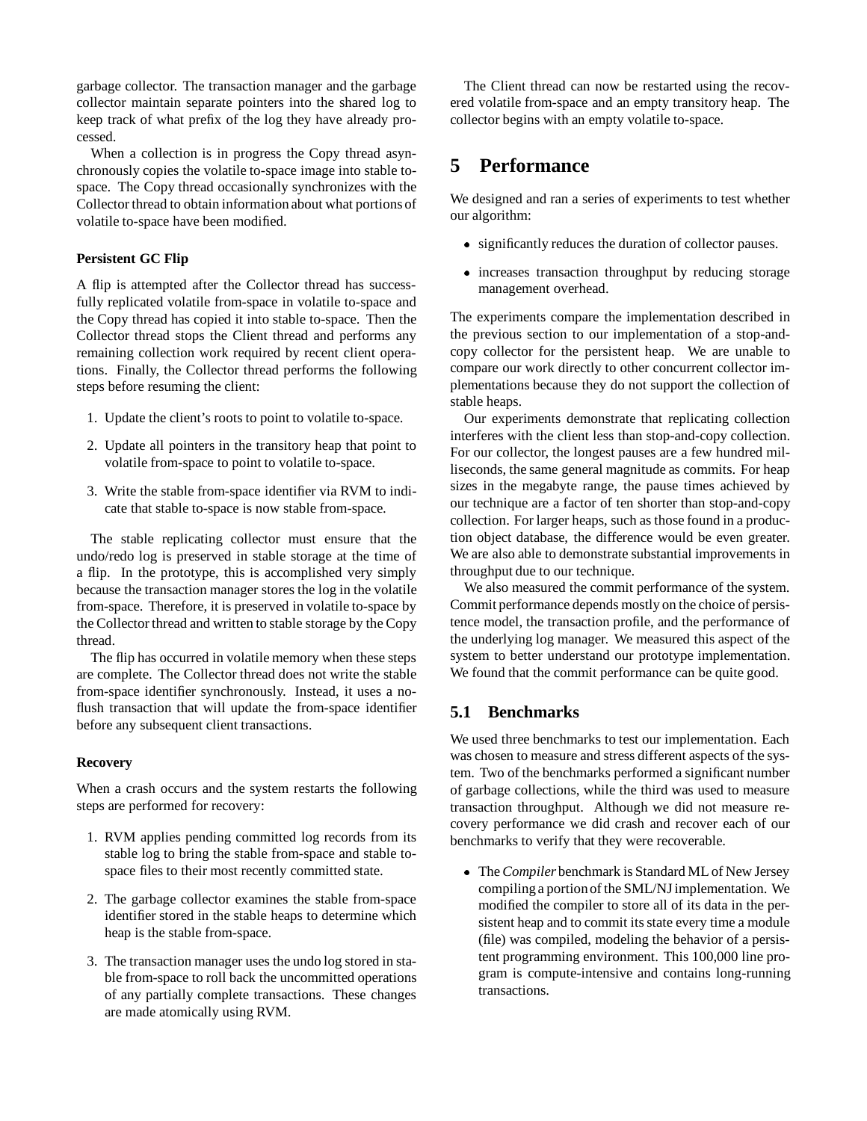garbage collector. The transaction manager and the garbage collector maintain separate pointers into the shared log to keep track of what prefix of the log they have already processed.

When a collection is in progress the Copy thread asynchronously copies the volatile to-space image into stable tospace. The Copy thread occasionally synchronizes with the Collector thread to obtain information about what portions of volatile to-space have been modified.

## **Persistent GC Flip**

A flip is attempted after the Collector thread has successfully replicated volatile from-space in volatile to-space and the Copy thread has copied it into stable to-space. Then the Collector thread stops the Client thread and performs any remaining collection work required by recent client operations. Finally, the Collector thread performs the following steps before resuming the client:

- 1. Update the client's roots to point to volatile to-space.
- 2. Update all pointers in the transitory heap that point to volatile from-space to point to volatile to-space.
- 3. Write the stable from-space identifier via RVM to indicate that stable to-space is now stable from-space.

The stable replicating collector must ensure that the undo/redo log is preserved in stable storage at the time of a flip. In the prototype, this is accomplished very simply because the transaction manager stores the log in the volatile from-space. Therefore, it is preserved in volatile to-space by the Collector thread and written to stable storage by the Copy thread.

The flip has occurred in volatile memory when these steps are complete. The Collector thread does not write the stable from-space identifier synchronously. Instead, it uses a noflush transaction that will update the from-space identifier before any subsequent client transactions.

### **Recovery**

When a crash occurs and the system restarts the following steps are performed for recovery:

- 1. RVM applies pending committed log records from its stable log to bring the stable from-space and stable tospace files to their most recently committed state.
- 2. The garbage collector examines the stable from-space identifier stored in the stable heaps to determine which heap is the stable from-space.
- 3. The transaction manager uses the undo log stored in stable from-space to roll back the uncommitted operations of any partially complete transactions. These changes are made atomically using RVM.

The Client thread can now be restarted using the recovered volatile from-space and an empty transitory heap. The collector begins with an empty volatile to-space.

# **5 Performance**

We designed and ran a series of experiments to test whether our algorithm:

- significantly reduces the duration of collector pauses.
- increases transaction throughput by reducing storage management overhead.

The experiments compare the implementation described in the previous section to our implementation of a stop-andcopy collector for the persistent heap. We are unable to compare our work directly to other concurrent collector implementations because they do not support the collection of stable heaps.

Our experiments demonstrate that replicating collection interferes with the client less than stop-and-copy collection. For our collector, the longest pauses are a few hundred milliseconds, the same general magnitude as commits. For heap sizes in the megabyte range, the pause times achieved by our technique are a factor of ten shorter than stop-and-copy collection. For larger heaps, such as those found in a production object database, the difference would be even greater. We are also able to demonstrate substantial improvements in throughput due to our technique.

We also measured the commit performance of the system. Commit performance depends mostly on the choice of persistence model, the transaction profile, and the performance of the underlying log manager. We measured this aspect of the system to better understand our prototype implementation. We found that the commit performance can be quite good.

# **5.1 Benchmarks**

We used three benchmarks to test our implementation. Each was chosen to measure and stress different aspects of the system. Two of the benchmarks performed a significant number of garbage collections, while the third was used to measure transaction throughput. Although we did not measure recovery performance we did crash and recover each of our benchmarks to verify that they were recoverable.

 The*Compiler* benchmark is Standard ML of New Jersey compilinga portionof the SML/NJ implementation. We modified the compiler to store all of its data in the persistent heap and to commit its state every time a module (file) was compiled, modeling the behavior of a persistent programming environment. This 100,000 line program is compute-intensive and contains long-running transactions.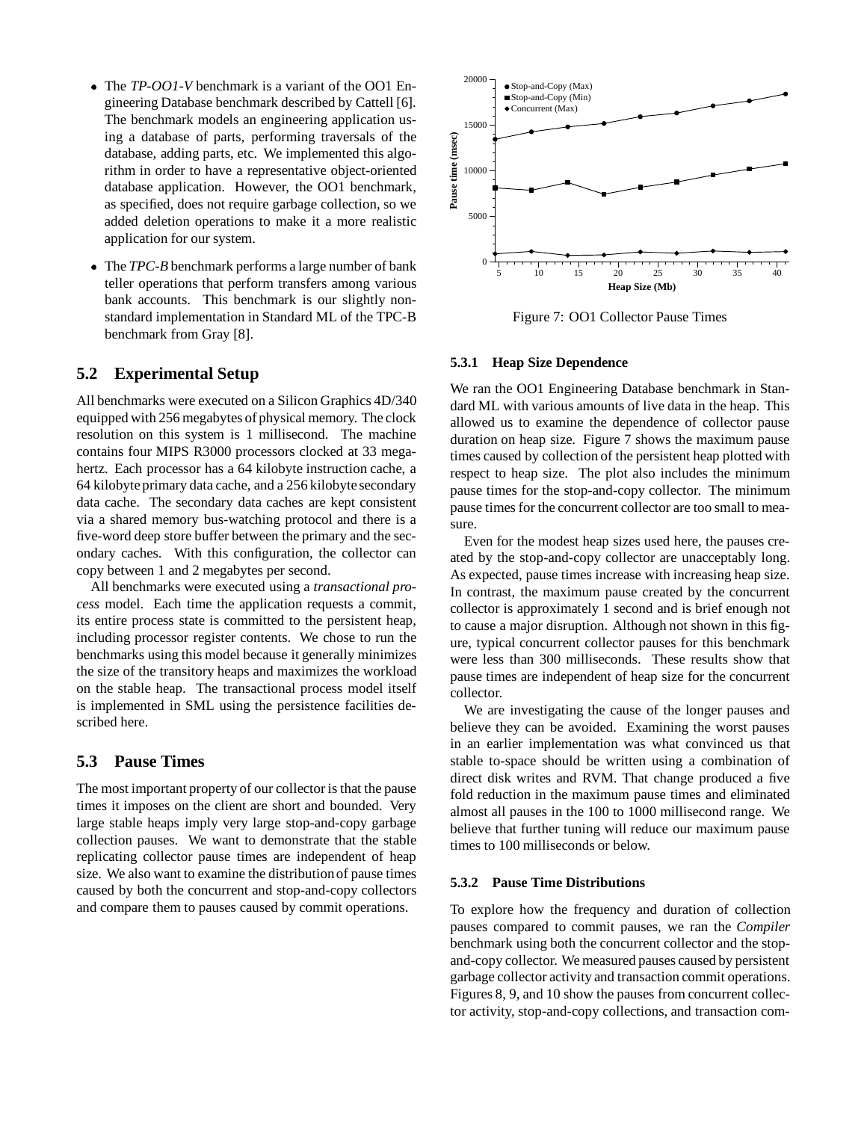- The*TP-OO1-V* benchmark is a variant of the OO1 Engineering Database benchmark described by Cattell [6]. The benchmark models an engineering application using a database of parts, performing traversals of the database, adding parts, etc. We implemented this algorithm in order to have a representative object-oriented database application. However, the OO1 benchmark, as specified, does not require garbage collection, so we added deletion operations to make it a more realistic application for our system.
- The*TPC-B* benchmark performs a large number of bank teller operations that perform transfers among various bank accounts. This benchmark is our slightly nonstandard implementation in Standard ML of the TPC-B benchmark from Gray [8].

## **5.2 Experimental Setup**

All benchmarks were executed on a Silicon Graphics 4D/340 equipped with 256 megabytes of physical memory. The clock resolution on this system is 1 millisecond. The machine contains four MIPS R3000 processors clocked at 33 megahertz. Each processor has a 64 kilobyte instruction cache, a 64 kilobyte primary data cache, and a 256 kilobyte secondary data cache. The secondary data caches are kept consistent via a shared memory bus-watching protocol and there is a five-word deep store buffer between the primary and the secondary caches. With this configuration, the collector can copy between 1 and 2 megabytes per second.

All benchmarks were executed using a *transactional process* model. Each time the application requests a commit, its entire process state is committed to the persistent heap, including processor register contents. We chose to run the benchmarks using this model because it generally minimizes the size of the transitory heaps and maximizes the workload on the stable heap. The transactional process model itself is implemented in SML using the persistence facilities described here.

## **5.3 Pause Times**

The most important property of our collector is that the pause times it imposes on the client are short and bounded. Very large stable heaps imply very large stop-and-copy garbage collection pauses. We want to demonstrate that the stable replicating collector pause times are independent of heap size. We also want to examine the distributionof pause times caused by both the concurrent and stop-and-copy collectors and compare them to pauses caused by commit operations.



Figure 7: OO1 Collector Pause Times

#### **5.3.1 Heap Size Dependence**

We ran the OO1 Engineering Database benchmark in Standard ML with various amounts of live data in the heap. This allowed us to examine the dependence of collector pause duration on heap size. Figure 7 shows the maximum pause times caused by collection of the persistent heap plotted with respect to heap size. The plot also includes the minimum pause times for the stop-and-copy collector. The minimum pause times for the concurrent collector are too small to measure.

Even for the modest heap sizes used here, the pauses created by the stop-and-copy collector are unacceptably long. As expected, pause times increase with increasing heap size. In contrast, the maximum pause created by the concurrent collector is approximately 1 second and is brief enough not to cause a major disruption. Although not shown in this figure, typical concurrent collector pauses for this benchmark were less than 300 milliseconds. These results show that pause times are independent of heap size for the concurrent collector.

We are investigating the cause of the longer pauses and believe they can be avoided. Examining the worst pauses in an earlier implementation was what convinced us that stable to-space should be written using a combination of direct disk writes and RVM. That change produced a five fold reduction in the maximum pause times and eliminated almost all pauses in the 100 to 1000 millisecond range. We believe that further tuning will reduce our maximum pause times to 100 milliseconds or below.

### **5.3.2 Pause Time Distributions**

To explore how the frequency and duration of collection pauses compared to commit pauses, we ran the *Compiler* benchmark using both the concurrent collector and the stopand-copy collector. We measured pauses caused by persistent garbage collector activity and transaction commit operations. Figures 8, 9, and 10 show the pauses from concurrent collector activity, stop-and-copy collections, and transaction com-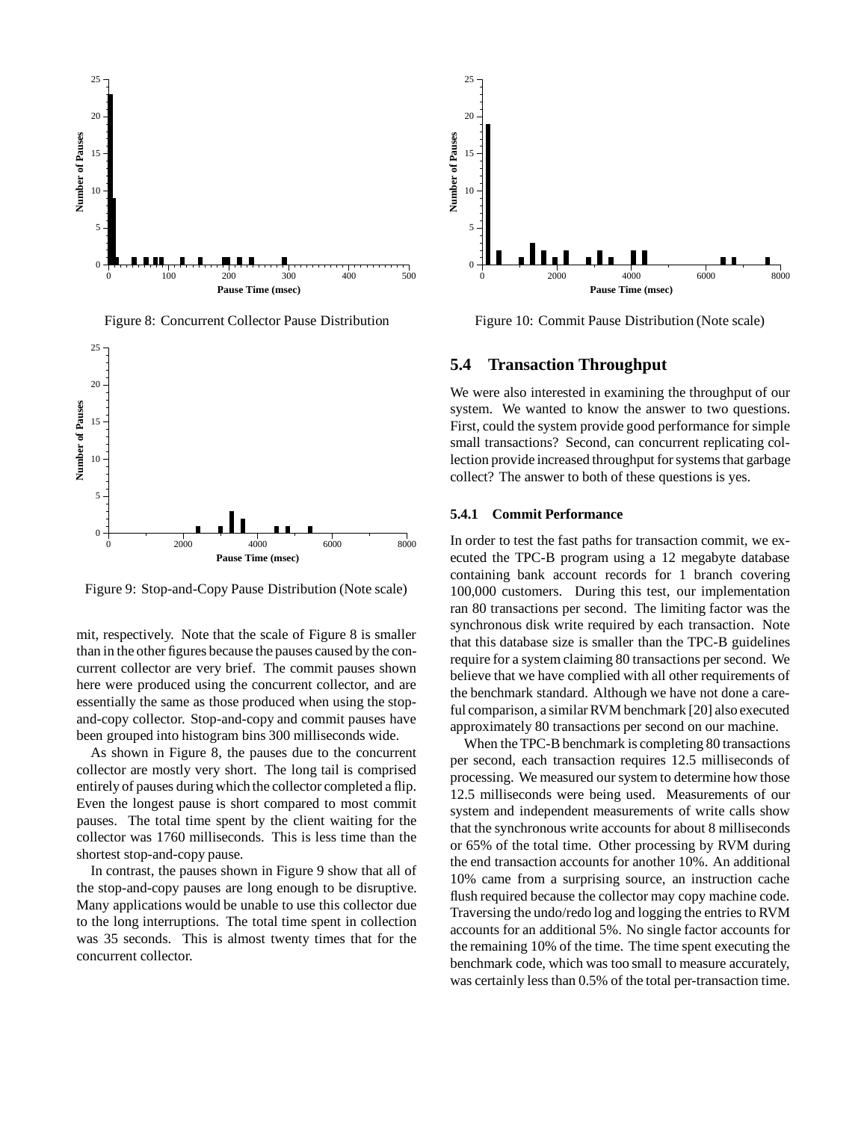

Figure 8: Concurrent Collector Pause Distribution



Figure 9: Stop-and-Copy Pause Distribution (Note scale)

mit, respectively. Note that the scale of Figure 8 is smaller than in the other figures because the pauses caused by the concurrent collector are very brief. The commit pauses shown here were produced using the concurrent collector, and are essentially the same as those produced when using the stopand-copy collector. Stop-and-copy and commit pauses have been grouped into histogram bins 300 milliseconds wide.

As shown in Figure 8, the pauses due to the concurrent collector are mostly very short. The long tail is comprised entirely of pauses during which the collector completed a flip. Even the longest pause is short compared to most commit pauses. The total time spent by the client waiting for the collector was 1760 milliseconds. This is less time than the shortest stop-and-copy pause.

In contrast, the pauses shown in Figure 9 show that all of the stop-and-copy pauses are long enough to be disruptive. Many applications would be unable to use this collector due to the long interruptions. The total time spent in collection was 35 seconds. This is almost twenty times that for the concurrent collector.



Figure 10: Commit Pause Distribution (Note scale)

## **5.4 Transaction Throughput**

We were also interested in examining the throughput of our system. We wanted to know the answer to two questions. First, could the system provide good performance for simple small transactions? Second, can concurrent replicating collection provide increased throughput for systems that garbage collect? The answer to both of these questions is yes.

#### **5.4.1 Commit Performance**

In order to test the fast paths for transaction commit, we executed the TPC-B program using a 12 megabyte database containing bank account records for 1 branch covering 100,000 customers. During this test, our implementation ran 80 transactions per second. The limiting factor was the synchronous disk write required by each transaction. Note that this database size is smaller than the TPC-B guidelines require for a system claiming 80 transactions per second. We believe that we have complied with all other requirements of the benchmark standard. Although we have not done a careful comparison, a similar RVM benchmark [20] also executed approximately 80 transactions per second on our machine.

When the TPC-B benchmark is completing 80 transactions per second, each transaction requires 12.5 milliseconds of processing. We measured our system to determine how those 12.5 milliseconds were being used. Measurements of our system and independent measurements of write calls show that the synchronous write accounts for about 8 milliseconds or 65% of the total time. Other processing by RVM during the end transaction accounts for another 10%. An additional 10% came from a surprising source, an instruction cache flush required because the collector may copy machine code. Traversing the undo/redo log and logging the entries to RVM accounts for an additional 5%. No single factor accounts for the remaining 10% of the time. The time spent executing the benchmark code, which was too small to measure accurately, was certainly less than 0.5% of the total per-transaction time.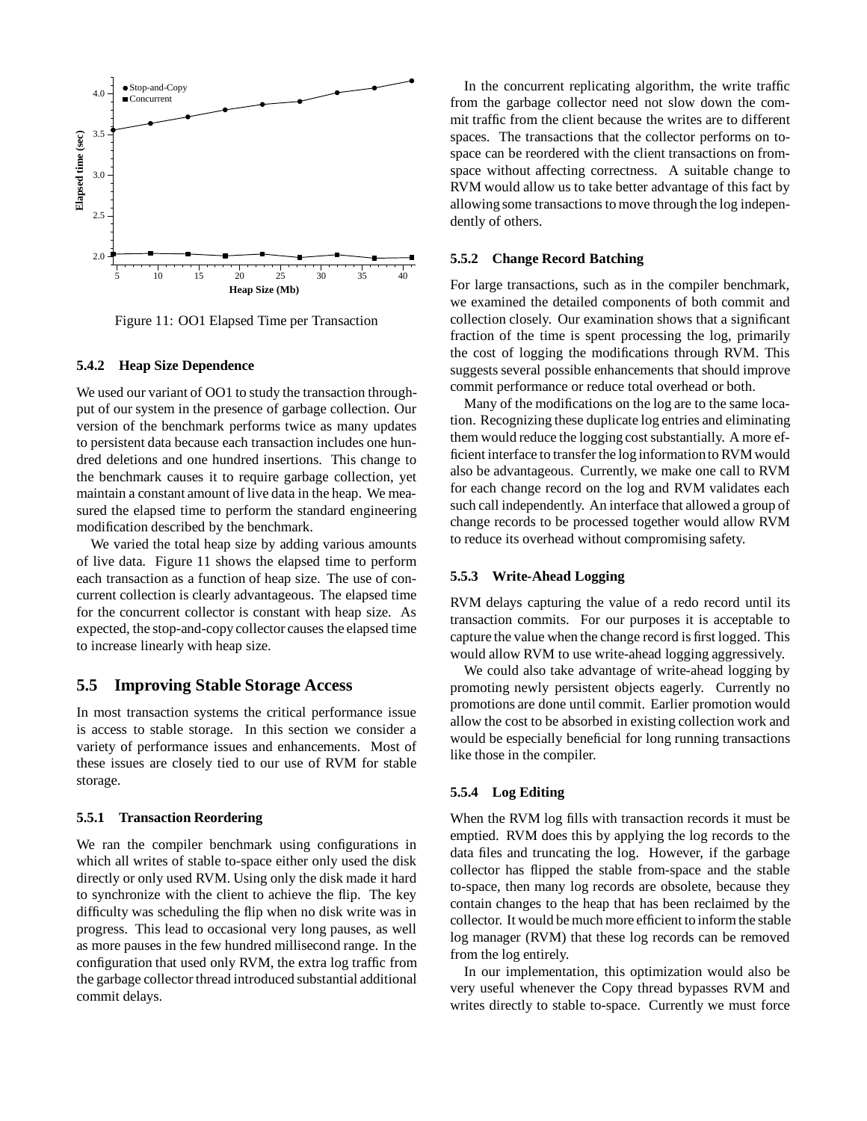

Figure 11: OO1 Elapsed Time per Transaction

#### **5.4.2 Heap Size Dependence**

We used our variant of OO1 to study the transaction throughput of our system in the presence of garbage collection. Our version of the benchmark performs twice as many updates to persistent data because each transaction includes one hundred deletions and one hundred insertions. This change to the benchmark causes it to require garbage collection, yet maintain a constant amount of live data in the heap. We measured the elapsed time to perform the standard engineering modification described by the benchmark.

We varied the total heap size by adding various amounts of live data. Figure 11 shows the elapsed time to perform each transaction as a function of heap size. The use of concurrent collection is clearly advantageous. The elapsed time for the concurrent collector is constant with heap size. As expected, the stop-and-copy collector causes the elapsed time to increase linearly with heap size.

### **5.5 Improving Stable Storage Access**

In most transaction systems the critical performance issue is access to stable storage. In this section we consider a variety of performance issues and enhancements. Most of these issues are closely tied to our use of RVM for stable storage.

#### **5.5.1 Transaction Reordering**

We ran the compiler benchmark using configurations in which all writes of stable to-space either only used the disk directly or only used RVM. Using only the disk made it hard to synchronize with the client to achieve the flip. The key difficulty was scheduling the flip when no disk write was in progress. This lead to occasional very long pauses, as well as more pauses in the few hundred millisecond range. In the configuration that used only RVM, the extra log traffic from the garbage collector thread introduced substantial additional commit delays.

In the concurrent replicating algorithm, the write traffic from the garbage collector need not slow down the commit traffic from the client because the writes are to different spaces. The transactions that the collector performs on tospace can be reordered with the client transactions on fromspace without affecting correctness. A suitable change to RVM would allow us to take better advantage of this fact by allowing some transactions to move through the log independently of others.

#### **5.5.2 Change Record Batching**

For large transactions, such as in the compiler benchmark, we examined the detailed components of both commit and collection closely. Our examination shows that a significant fraction of the time is spent processing the log, primarily the cost of logging the modifications through RVM. This suggests several possible enhancements that should improve commit performance or reduce total overhead or both.

Many of the modifications on the log are to the same location. Recognizing these duplicate log entries and eliminating them would reduce the logging cost substantially. A more efficient interface to transfer the log informationto RVM would also be advantageous. Currently, we make one call to RVM for each change record on the log and RVM validates each such call independently. An interface that allowed a group of change records to be processed together would allow RVM to reduce its overhead without compromising safety.

#### **5.5.3 Write-Ahead Logging**

RVM delays capturing the value of a redo record until its transaction commits. For our purposes it is acceptable to capture the value when the change record is first logged. This would allow RVM to use write-ahead logging aggressively.

We could also take advantage of write-ahead logging by promoting newly persistent objects eagerly. Currently no promotions are done until commit. Earlier promotion would allow the cost to be absorbed in existing collection work and would be especially beneficial for long running transactions like those in the compiler.

## **5.5.4 Log Editing**

When the RVM log fills with transaction records it must be emptied. RVM does this by applying the log records to the data files and truncating the log. However, if the garbage collector has flipped the stable from-space and the stable to-space, then many log records are obsolete, because they contain changes to the heap that has been reclaimed by the collector. It would be much more efficient to inform the stable log manager (RVM) that these log records can be removed from the log entirely.

In our implementation, this optimization would also be very useful whenever the Copy thread bypasses RVM and writes directly to stable to-space. Currently we must force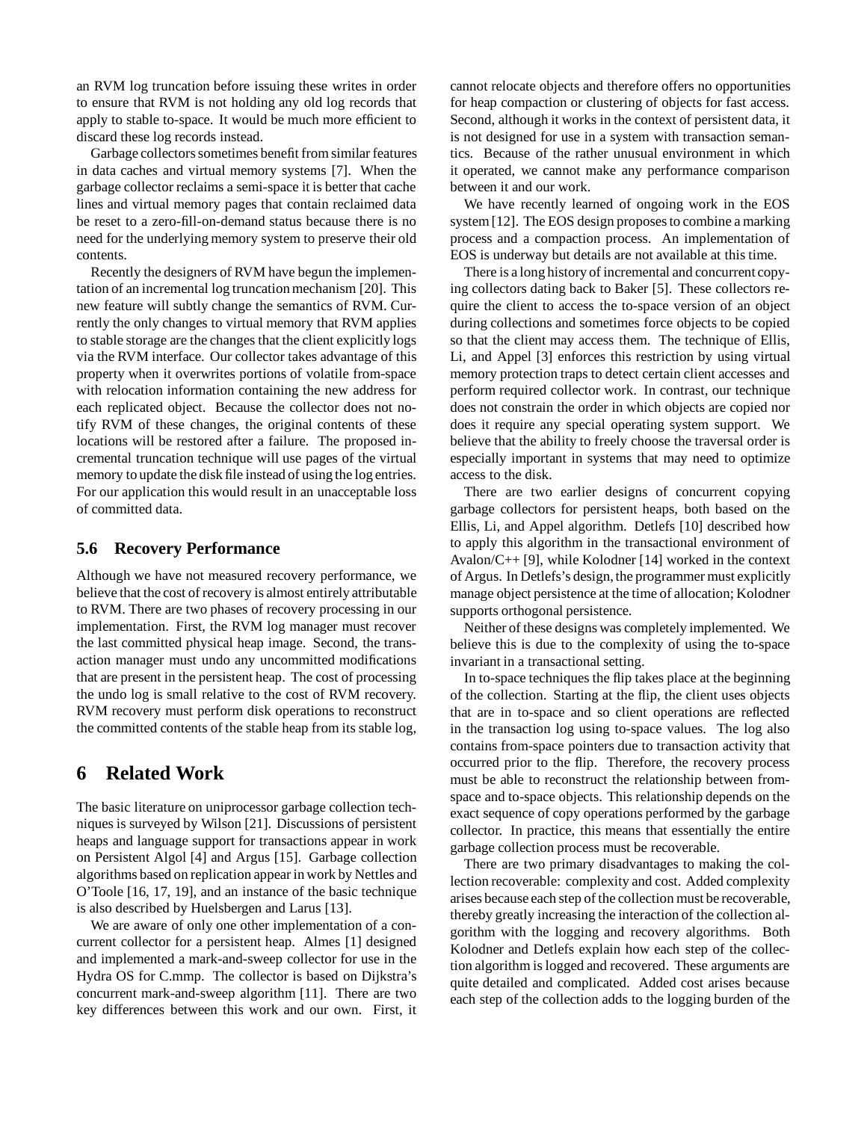an RVM log truncation before issuing these writes in order to ensure that RVM is not holding any old log records that apply to stable to-space. It would be much more efficient to discard these log records instead.

Garbage collectors sometimes benefit from similar features in data caches and virtual memory systems [7]. When the garbage collector reclaims a semi-space it is better that cache lines and virtual memory pages that contain reclaimed data be reset to a zero-fill-on-demand status because there is no need for the underlying memory system to preserve their old contents.

Recently the designers of RVM have begun the implementation of an incremental log truncation mechanism [20]. This new feature will subtly change the semantics of RVM. Currently the only changes to virtual memory that RVM applies to stable storage are the changes that the client explicitly logs via the RVM interface. Our collector takes advantage of this property when it overwrites portions of volatile from-space with relocation information containing the new address for each replicated object. Because the collector does not notify RVM of these changes, the original contents of these locations will be restored after a failure. The proposed incremental truncation technique will use pages of the virtual memory to update the disk file instead of using the log entries. For our application this would result in an unacceptable loss of committed data.

## **5.6 Recovery Performance**

Although we have not measured recovery performance, we believe that the cost of recovery is almost entirely attributable to RVM. There are two phases of recovery processing in our implementation. First, the RVM log manager must recover the last committed physical heap image. Second, the transaction manager must undo any uncommitted modifications that are present in the persistent heap. The cost of processing the undo log is small relative to the cost of RVM recovery. RVM recovery must perform disk operations to reconstruct the committed contents of the stable heap from its stable log,

# **6 Related Work**

The basic literature on uniprocessor garbage collection techniques is surveyed by Wilson [21]. Discussions of persistent heaps and language support for transactions appear in work on Persistent Algol [4] and Argus [15]. Garbage collection algorithms based on replication appear in work by Nettles and O'Toole [16, 17, 19], and an instance of the basic technique is also described by Huelsbergen and Larus [13].

We are aware of only one other implementation of a concurrent collector for a persistent heap. Almes [1] designed and implemented a mark-and-sweep collector for use in the Hydra OS for C.mmp. The collector is based on Dijkstra's concurrent mark-and-sweep algorithm [11]. There are two key differences between this work and our own. First, it

cannot relocate objects and therefore offers no opportunities for heap compaction or clustering of objects for fast access. Second, although it works in the context of persistent data, it is not designed for use in a system with transaction semantics. Because of the rather unusual environment in which it operated, we cannot make any performance comparison between it and our work.

We have recently learned of ongoing work in the EOS system [12]. The EOS design proposes to combine a marking process and a compaction process. An implementation of EOS is underway but details are not available at this time.

There is a long history of incremental and concurrent copying collectors dating back to Baker [5]. These collectors require the client to access the to-space version of an object during collections and sometimes force objects to be copied so that the client may access them. The technique of Ellis, Li, and Appel [3] enforces this restriction by using virtual memory protection traps to detect certain client accesses and perform required collector work. In contrast, our technique does not constrain the order in which objects are copied nor does it require any special operating system support. We believe that the ability to freely choose the traversal order is especially important in systems that may need to optimize access to the disk.

There are two earlier designs of concurrent copying garbage collectors for persistent heaps, both based on the Ellis, Li, and Appel algorithm. Detlefs [10] described how to apply this algorithm in the transactional environment of Avalon/C++ [9], while Kolodner [14] worked in the context of Argus. In Detlefs's design, the programmer must explicitly manage object persistence at the time of allocation; Kolodner supports orthogonal persistence.

Neither of these designs was completely implemented. We believe this is due to the complexity of using the to-space invariant in a transactional setting.

In to-space techniques the flip takes place at the beginning of the collection. Starting at the flip, the client uses objects that are in to-space and so client operations are reflected in the transaction log using to-space values. The log also contains from-space pointers due to transaction activity that occurred prior to the flip. Therefore, the recovery process must be able to reconstruct the relationship between fromspace and to-space objects. This relationship depends on the exact sequence of copy operations performed by the garbage collector. In practice, this means that essentially the entire garbage collection process must be recoverable.

There are two primary disadvantages to making the collection recoverable: complexity and cost. Added complexity arises because each step of the collection must be recoverable, thereby greatly increasing the interaction of the collection algorithm with the logging and recovery algorithms. Both Kolodner and Detlefs explain how each step of the collection algorithm is logged and recovered. These arguments are quite detailed and complicated. Added cost arises because each step of the collection adds to the logging burden of the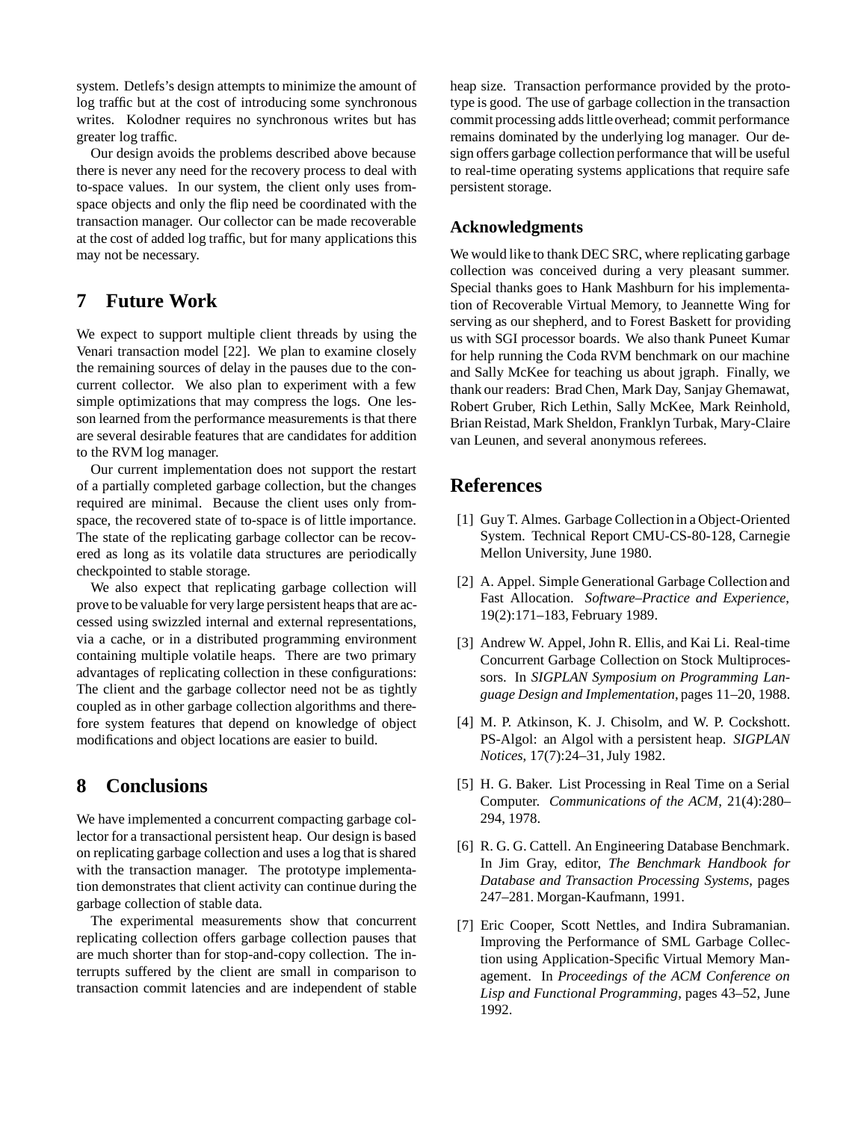system. Detlefs's design attempts to minimize the amount of log traffic but at the cost of introducing some synchronous writes. Kolodner requires no synchronous writes but has greater log traffic.

Our design avoids the problems described above because there is never any need for the recovery process to deal with to-space values. In our system, the client only uses fromspace objects and only the flip need be coordinated with the transaction manager. Our collector can be made recoverable at the cost of added log traffic, but for many applications this may not be necessary.

# **7 Future Work**

We expect to support multiple client threads by using the Venari transaction model [22]. We plan to examine closely the remaining sources of delay in the pauses due to the concurrent collector. We also plan to experiment with a few simple optimizations that may compress the logs. One lesson learned from the performance measurements is that there are several desirable features that are candidates for addition to the RVM log manager.

Our current implementation does not support the restart of a partially completed garbage collection, but the changes required are minimal. Because the client uses only fromspace, the recovered state of to-space is of little importance. The state of the replicating garbage collector can be recovered as long as its volatile data structures are periodically checkpointed to stable storage.

We also expect that replicating garbage collection will prove to be valuable for very large persistent heaps that are accessed using swizzled internal and external representations, via a cache, or in a distributed programming environment containing multiple volatile heaps. There are two primary advantages of replicating collection in these configurations: The client and the garbage collector need not be as tightly coupled as in other garbage collection algorithms and therefore system features that depend on knowledge of object modifications and object locations are easier to build.

# **8 Conclusions**

We have implemented a concurrent compacting garbage collector for a transactional persistent heap. Our design is based on replicating garbage collection and uses a log that is shared with the transaction manager. The prototype implementation demonstrates that client activity can continue during the garbage collection of stable data.

The experimental measurements show that concurrent replicating collection offers garbage collection pauses that are much shorter than for stop-and-copy collection. The interrupts suffered by the client are small in comparison to transaction commit latencies and are independent of stable heap size. Transaction performance provided by the prototype is good. The use of garbage collection in the transaction commit processing adds littleoverhead; commit performance remains dominated by the underlying log manager. Our design offers garbage collection performance that will be useful to real-time operating systems applications that require safe persistent storage.

## **Acknowledgments**

We would like to thank DEC SRC, where replicating garbage collection was conceived during a very pleasant summer. Special thanks goes to Hank Mashburn for his implementation of Recoverable Virtual Memory, to Jeannette Wing for serving as our shepherd, and to Forest Baskett for providing us with SGI processor boards. We also thank Puneet Kumar for help running the Coda RVM benchmark on our machine and Sally McKee for teaching us about jgraph. Finally, we thank our readers: Brad Chen, Mark Day, Sanjay Ghemawat, Robert Gruber, Rich Lethin, Sally McKee, Mark Reinhold, Brian Reistad, Mark Sheldon, Franklyn Turbak, Mary-Claire van Leunen, and several anonymous referees.

# **References**

- [1] Guy T. Almes. Garbage Collectionin a Object-Oriented System. Technical Report CMU-CS-80-128, Carnegie Mellon University, June 1980.
- [2] A. Appel. Simple Generational Garbage Collection and Fast Allocation. *Software–Practice and Experience*, 19(2):171–183, February 1989.
- [3] Andrew W. Appel, John R. Ellis, and Kai Li. Real-time Concurrent Garbage Collection on Stock Multiprocessors. In *SIGPLAN Symposium on Programming Language Design and Implementation*, pages 11–20, 1988.
- [4] M. P. Atkinson, K. J. Chisolm, and W. P. Cockshott. PS-Algol: an Algol with a persistent heap. *SIGPLAN Notices*, 17(7):24–31, July 1982.
- [5] H. G. Baker. List Processing in Real Time on a Serial Computer. *Communications of the ACM*, 21(4):280– 294, 1978.
- [6] R. G. G. Cattell. An Engineering Database Benchmark. In Jim Gray, editor, *The Benchmark Handbook for Database and Transaction Processing Systems*, pages 247–281. Morgan-Kaufmann, 1991.
- [7] Eric Cooper, Scott Nettles, and Indira Subramanian. Improving the Performance of SML Garbage Collection using Application-Specific Virtual Memory Management. In *Proceedings of the ACM Conference on Lisp and Functional Programming*, pages 43–52, June 1992.